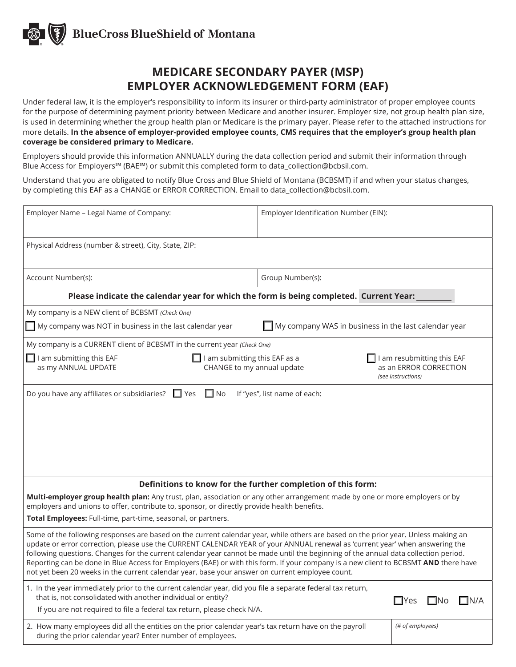

Under federal law, it is the employer's responsibility to inform its insurer or third-party administrator of proper employee counts for the purpose of determining payment priority between Medicare and another insurer. Employer size, not group health plan size, is used in determining whether the group health plan or Medicare is the primary payer. Please refer to the attached instructions for more details. **In the absence of employer-provided employee counts, CMS requires that the employer's group health plan coverage be considered primary to Medicare.**

Employers should provide this information ANNUALLY during the data collection period and submit their information through Blue Access for Employers℠ (BAE℠) or submit this completed form to data\_collection@bcbsil.com.

Understand that you are obligated to notify Blue Cross and Blue Shield of Montana (BCBSMT) if and when your status changes, by completing this EAF as a CHANGE or ERROR CORRECTION. Email to data\_collection@bcbsil.com.

| Employer Name - Legal Name of Company:                                                                                                                                                                                                                                                                                                                                                                                                                                                                                                                                                                                                               | Employer Identification Number (EIN): |                                                      |  |  |  |
|------------------------------------------------------------------------------------------------------------------------------------------------------------------------------------------------------------------------------------------------------------------------------------------------------------------------------------------------------------------------------------------------------------------------------------------------------------------------------------------------------------------------------------------------------------------------------------------------------------------------------------------------------|---------------------------------------|------------------------------------------------------|--|--|--|
| Physical Address (number & street), City, State, ZIP:                                                                                                                                                                                                                                                                                                                                                                                                                                                                                                                                                                                                |                                       |                                                      |  |  |  |
| Account Number(s):                                                                                                                                                                                                                                                                                                                                                                                                                                                                                                                                                                                                                                   | Group Number(s):                      |                                                      |  |  |  |
| Please indicate the calendar year for which the form is being completed. Current Year:                                                                                                                                                                                                                                                                                                                                                                                                                                                                                                                                                               |                                       |                                                      |  |  |  |
| My company is a NEW client of BCBSMT (Check One)                                                                                                                                                                                                                                                                                                                                                                                                                                                                                                                                                                                                     |                                       |                                                      |  |  |  |
| My company WAS in business in the last calendar year<br>$\blacksquare$ My company was NOT in business in the last calendar year                                                                                                                                                                                                                                                                                                                                                                                                                                                                                                                      |                                       |                                                      |  |  |  |
| My company is a CURRENT client of BCBSMT in the current year (Check One)                                                                                                                                                                                                                                                                                                                                                                                                                                                                                                                                                                             |                                       |                                                      |  |  |  |
| $\Box$ I am submitting this EAF<br>I am submitting this EAF as a<br>as my ANNUAL UPDATE<br>CHANGE to my annual update<br>(see instructions)                                                                                                                                                                                                                                                                                                                                                                                                                                                                                                          |                                       | I am resubmitting this EAF<br>as an ERROR CORRECTION |  |  |  |
|                                                                                                                                                                                                                                                                                                                                                                                                                                                                                                                                                                                                                                                      |                                       |                                                      |  |  |  |
| Definitions to know for the further completion of this form:                                                                                                                                                                                                                                                                                                                                                                                                                                                                                                                                                                                         |                                       |                                                      |  |  |  |
| Multi-employer group health plan: Any trust, plan, association or any other arrangement made by one or more employers or by<br>employers and unions to offer, contribute to, sponsor, or directly provide health benefits.                                                                                                                                                                                                                                                                                                                                                                                                                           |                                       |                                                      |  |  |  |
| Total Employees: Full-time, part-time, seasonal, or partners.                                                                                                                                                                                                                                                                                                                                                                                                                                                                                                                                                                                        |                                       |                                                      |  |  |  |
| Some of the following responses are based on the current calendar year, while others are based on the prior year. Unless making an<br>update or error correction, please use the CURRENT CALENDAR YEAR of your ANNUAL renewal as 'current year' when answering the<br>following questions. Changes for the current calendar year cannot be made until the beginning of the annual data collection period.<br>Reporting can be done in Blue Access for Employers (BAE) or with this form. If your company is a new client to BCBSMT AND there have<br>not yet been 20 weeks in the current calendar year, base your answer on current employee count. |                                       |                                                      |  |  |  |
| 1. In the year immediately prior to the current calendar year, did you file a separate federal tax return,<br>that is, not consolidated with another individual or entity?                                                                                                                                                                                                                                                                                                                                                                                                                                                                           |                                       | ∃IN/A<br>$\square$ Yes<br>I INO                      |  |  |  |
| If you are not required to file a federal tax return, please check N/A.                                                                                                                                                                                                                                                                                                                                                                                                                                                                                                                                                                              |                                       |                                                      |  |  |  |
| 2. How many employees did all the entities on the prior calendar year's tax return have on the payroll<br>during the prior calendar year? Enter number of employees.                                                                                                                                                                                                                                                                                                                                                                                                                                                                                 |                                       | (# of employees)                                     |  |  |  |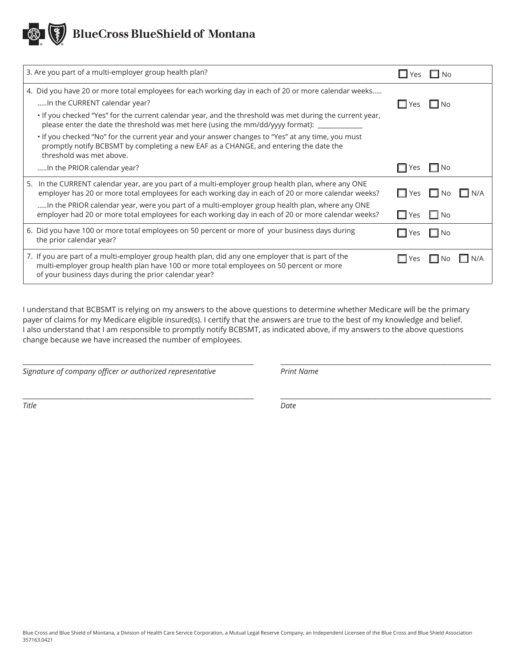| 3. Are you part of a multi-employer group health plan?                                                                                                                                                                                                 | $\Box$ Yes $\Box$ No |                      |        |
|--------------------------------------------------------------------------------------------------------------------------------------------------------------------------------------------------------------------------------------------------------|----------------------|----------------------|--------|
| 4. Did you have 20 or more total employees for each working day in each of 20 or more calendar weeks<br>In the CURRENT calendar year?                                                                                                                  | $\Box$ Yes $\Box$ No |                      |        |
| . If you checked "Yes" for the current calendar year, and the threshold was met during the current year,<br>please enter the date the threshold was met here (using the mm/dd/yyyy format): ____________                                               |                      |                      |        |
| . If you checked "No" for the current year and your answer changes to "Yes" at any time, you must<br>promptly notify BCBSMT by completing a new EAF as a CHANGE, and entering the date the<br>threshold was met above.                                 |                      |                      |        |
| In the PRIOR calendar year?                                                                                                                                                                                                                            | $\Box$ Yes $\Box$ No |                      |        |
| 5. In the CURRENT calendar year, are you part of a multi-employer group health plan, where any ONE<br>employer has 20 or more total employees for each working day in each of 20 or more calendar weeks?                                               |                      | $\Box$ Yes $\Box$ No | I IN/A |
| In the PRIOR calendar year, were you part of a multi-employer group health plan, where any ONE<br>employer had 20 or more total employees for each working day in each of 20 or more calendar weeks?                                                   | $\Box$ Yes           | $\Box$ No            |        |
| 6. Did you have 100 or more total employees on 50 percent or more of your business days during<br>the prior calendar year?                                                                                                                             | l Yes                | l I No               |        |
| 7. If you are part of a multi-employer group health plan, did any one employer that is part of the<br>multi-employer group health plan have 100 or more total employees on 50 percent or more<br>of your business days during the prior calendar year? | l l Yes              | I INO                |        |

I understand that BCBSMT is relying on my answers to the above questions to determine whether Medicare will be the primary payer of claims for my Medicare eligible insured(s). I certify that the answers are true to the best of my knowledge and belief. I also understand that I am responsible to promptly notify BCBSMT, as indicated above, if my answers to the above questions change because we have increased the number of employees.

 $\_$  ,  $\_$  ,  $\_$  ,  $\_$  ,  $\_$  ,  $\_$  ,  $\_$  ,  $\_$  ,  $\_$  ,  $\_$  ,  $\_$  ,  $\_$  ,  $\_$  ,  $\_$  ,  $\_$  ,  $\_$  ,  $\_$  ,  $\_$  ,  $\_$  ,  $\_$  ,  $\_$ 

 $\_$  ,  $\_$  ,  $\_$  ,  $\_$  ,  $\_$  ,  $\_$  ,  $\_$  ,  $\_$  ,  $\_$  ,  $\_$  ,  $\_$  ,  $\_$  ,  $\_$  ,  $\_$  ,  $\_$  ,  $\_$  ,  $\_$  ,  $\_$  ,  $\_$  ,  $\_$  ,  $\_$ 

*Signature of company officer or authorized representative Print Name*

*Title Date*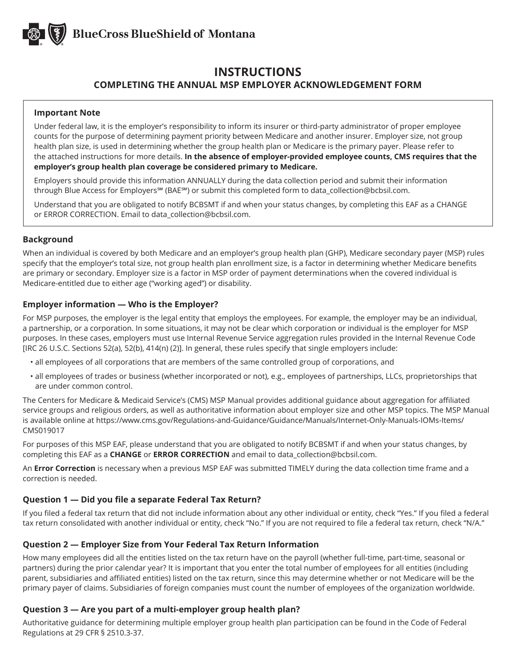

# **INSTRUCTIONS COMPLETING THE ANNUAL MSP EMPLOYER ACKNOWLEDGEMENT FORM**

#### **Important Note**

Under federal law, it is the employer's responsibility to inform its insurer or third-party administrator of proper employee counts for the purpose of determining payment priority between Medicare and another insurer. Employer size, not group health plan size, is used in determining whether the group health plan or Medicare is the primary payer. Please refer to the attached instructions for more details. **In the absence of employer-provided employee counts, CMS requires that the employer's group health plan coverage be considered primary to Medicare.**

Employers should provide this information ANNUALLY during the data collection period and submit their information through Blue Access for Employers℠ (BAE℠) or submit this completed form to data\_collection@bcbsil.com.

Understand that you are obligated to notify BCBSMT if and when your status changes, by completing this EAF as a CHANGE or ERROR CORRECTION. Email to data\_collection@bcbsil.com.

# **Background**

When an individual is covered by both Medicare and an employer's group health plan (GHP), Medicare secondary payer (MSP) rules specify that the employer's total size, not group health plan enrollment size, is a factor in determining whether Medicare benefits are primary or secondary. Employer size is a factor in MSP order of payment determinations when the covered individual is Medicare-entitled due to either age ("working aged") or disability.

# **Employer information — Who is the Employer?**

For MSP purposes, the employer is the legal entity that employs the employees. For example, the employer may be an individual, a partnership, or a corporation. In some situations, it may not be clear which corporation or individual is the employer for MSP purposes. In these cases, employers must use Internal Revenue Service aggregation rules provided in the Internal Revenue Code [IRC 26 U.S.C. Sections 52(a), 52(b), 414(n) (2)]. In general, these rules specify that single employers include:

- all employees of all corporations that are members of the same controlled group of corporations, and
- all employees of trades or business (whether incorporated or not), e.g., employees of partnerships, LLCs, proprietorships that are under common control.

The Centers for Medicare & Medicaid Service's (CMS) MSP Manual provides additional guidance about aggregation for affiliated service groups and religious orders, as well as authoritative information about employer size and other MSP topics. The MSP Manual is available online at https://www.cms.gov/Regulations-and-Guidance/Guidance/Manuals/Internet-Only-Manuals-IOMs-Items/ CMS019017

For purposes of this MSP EAF, please understand that you are obligated to notify BCBSMT if and when your status changes, by completing this EAF as a **CHANGE** or **ERROR CORRECTION** and email to data\_collection@bcbsil.com.

An **Error Correction** is necessary when a previous MSP EAF was submitted TIMELY during the data collection time frame and a correction is needed.

# **Question 1 — Did you file a separate Federal Tax Return?**

If you filed a federal tax return that did not include information about any other individual or entity, check "Yes." If you filed a federal tax return consolidated with another individual or entity, check "No." If you are not required to file a federal tax return, check "N/A."

#### **Question 2 — Employer Size from Your Federal Tax Return Information**

How many employees did all the entities listed on the tax return have on the payroll (whether full-time, part-time, seasonal or partners) during the prior calendar year? It is important that you enter the total number of employees for all entities (including parent, subsidiaries and affiliated entities) listed on the tax return, since this may determine whether or not Medicare will be the primary payer of claims. Subsidiaries of foreign companies must count the number of employees of the organization worldwide.

# **Question 3 — Are you part of a multi-employer group health plan?**

Authoritative guidance for determining multiple employer group health plan participation can be found in the Code of Federal Regulations at 29 CFR § 2510.3-37.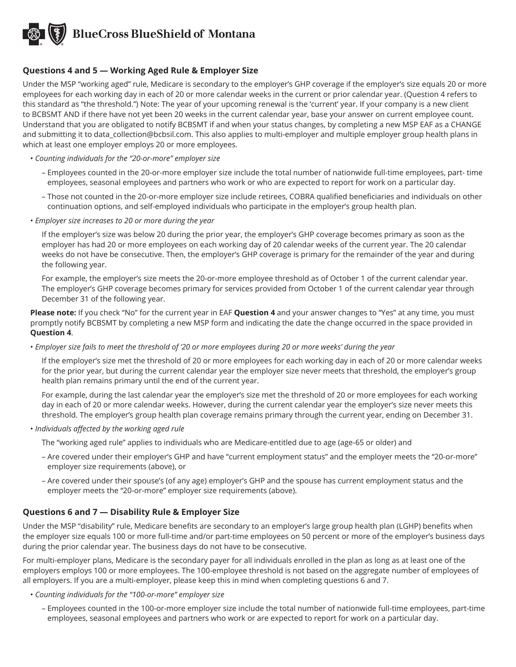# **Questions 4 and 5 — Working Aged Rule & Employer Size**

Under the MSP "working aged" rule, Medicare is secondary to the employer's GHP coverage if the employer's size equals 20 or more employees for each working day in each of 20 or more calendar weeks in the current or prior calendar year. (Question 4 refers to this standard as "the threshold.") Note: The year of your upcoming renewal is the 'current' year. If your company is a new client to BCBSMT AND if there have not yet been 20 weeks in the current calendar year, base your answer on current employee count. Understand that you are obligated to notify BCBSMT if and when your status changes, by completing a new MSP EAF as a CHANGE and submitting it to data\_collection@bcbsil.com. This also applies to multi-employer and multiple employer group health plans in which at least one employer employs 20 or more employees.

- *Counting individuals for the "20-or-more" employer size*
	- Employees counted in the 20-or-more employer size include the total number of nationwide full-time employees, part- time employees, seasonal employees and partners who work or who are expected to report for work on a particular day.
	- Those not counted in the 20-or-more employer size include retirees, COBRA qualified beneficiaries and individuals on other continuation options, and self-employed individuals who participate in the employer's group health plan.
- *Employer size increases to 20 or more during the year*

If the employer's size was below 20 during the prior year, the employer's GHP coverage becomes primary as soon as the employer has had 20 or more employees on each working day of 20 calendar weeks of the current year. The 20 calendar weeks do not have be consecutive. Then, the employer's GHP coverage is primary for the remainder of the year and during the following year.

For example, the employer's size meets the 20-or-more employee threshold as of October 1 of the current calendar year. The employer's GHP coverage becomes primary for services provided from October 1 of the current calendar year through December 31 of the following year.

**Please note:** If you check "No" for the current year in EAF **Question 4** and your answer changes to "Yes" at any time, you must promptly notify BCBSMT by completing a new MSP form and indicating the date the change occurred in the space provided in **Question 4**.

• *Employer size fails to meet the threshold of '20 or more employees during 20 or more weeks' during the year*

If the employer's size met the threshold of 20 or more employees for each working day in each of 20 or more calendar weeks for the prior year, but during the current calendar year the employer size never meets that threshold, the employer's group health plan remains primary until the end of the current year.

For example, during the last calendar year the employer's size met the threshold of 20 or more employees for each working day in each of 20 or more calendar weeks. However, during the current calendar year the employer's size never meets this threshold. The employer's group health plan coverage remains primary through the current year, ending on December 31.

- *Individuals affected by the working aged rule*
	- The "working aged rule" applies to individuals who are Medicare-entitled due to age (age-65 or older) and
	- Are covered under their employer's GHP and have "current employment status" and the employer meets the "20-or-more" employer size requirements (above), or
	- Are covered under their spouse's (of any age) employer's GHP and the spouse has current employment status and the employer meets the "20-or-more" employer size requirements (above).

# **Questions 6 and 7 — Disability Rule & Employer Size**

Under the MSP "disability" rule, Medicare benefits are secondary to an employer's large group health plan (LGHP) benefits when the employer size equals 100 or more full-time and/or part-time employees on 50 percent or more of the employer's business days during the prior calendar year. The business days do not have to be consecutive.

For multi-employer plans, Medicare is the secondary payer for all individuals enrolled in the plan as long as at least one of the employers employs 100 or more employees. The 100-employee threshold is not based on the aggregate number of employees of all employers. If you are a multi-employer, please keep this in mind when completing questions 6 and 7.

- *Counting individuals for the "100-or-more" employer size*
	- Employees counted in the 100-or-more employer size include the total number of nationwide full-time employees, part-time employees, seasonal employees and partners who work or are expected to report for work on a particular day.